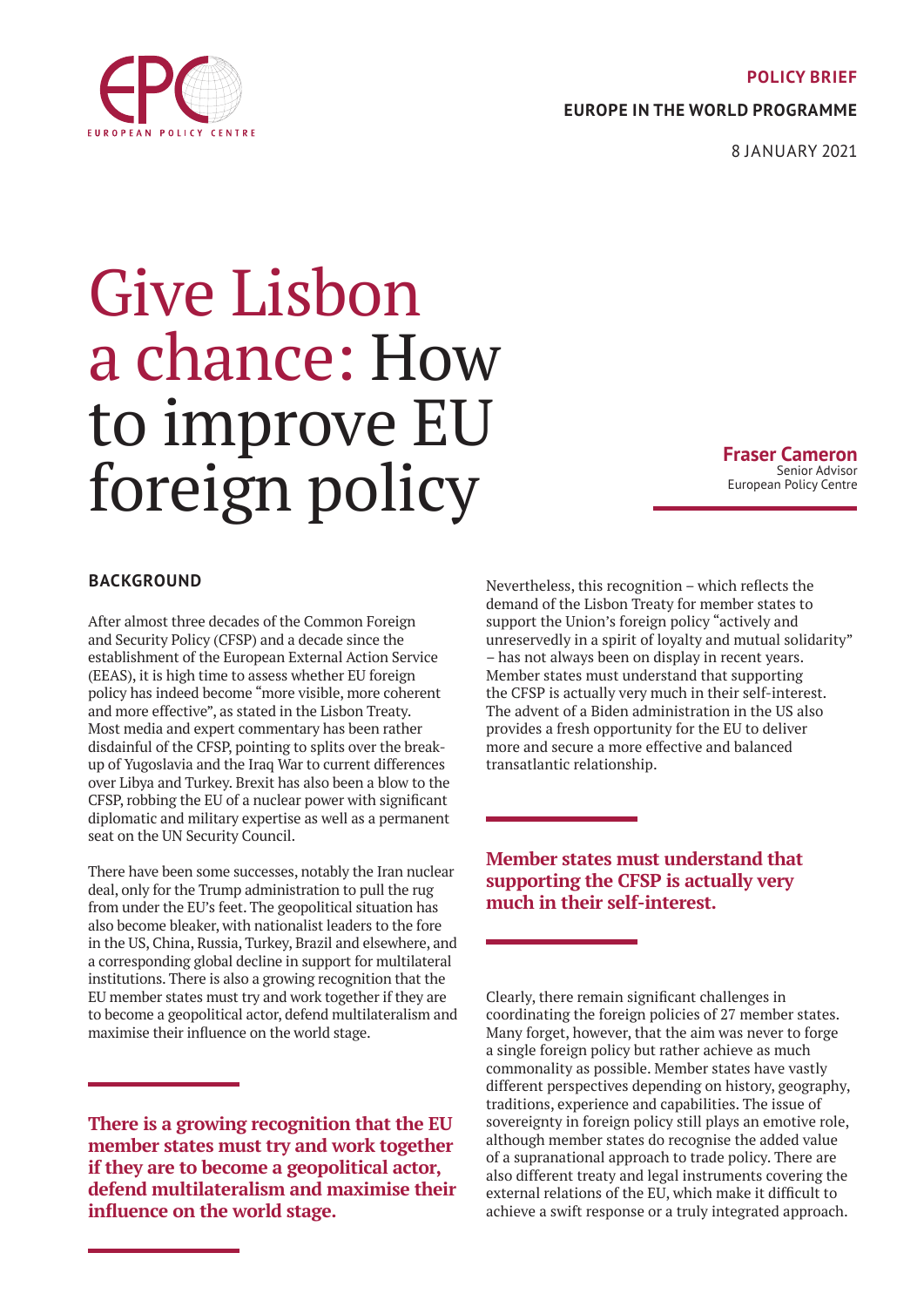### **POLICY BRIEF**

**EUROPE IN THE WORLD PROGRAMME**

8 JANUARY 2021

# Give Lisbon a chance: How to improve EU foreign policy

**Fraser Cameron** Senior Advisor European Policy Centre

## **BACKGROUND**

After almost three decades of the Common Foreign and Security Policy (CFSP) and a decade since the establishment of the European External Action Service (EEAS), it is high time to assess whether EU foreign policy has indeed become "more visible, more coherent and more effective", as stated in the Lisbon Treaty. Most media and expert commentary has been rather disdainful of the CFSP, pointing to splits over the breakup of Yugoslavia and the Iraq War to current differences over Libya and Turkey. Brexit has also been a blow to the CFSP, robbing the EU of a nuclear power with significant diplomatic and military expertise as well as a permanent seat on the UN Security Council.

There have been some successes, notably the Iran nuclear deal, only for the Trump administration to pull the rug from under the EU's feet. The geopolitical situation has also become bleaker, with nationalist leaders to the fore in the US, China, Russia, Turkey, Brazil and elsewhere, and a corresponding global decline in support for multilateral institutions. There is also a growing recognition that the EU member states must try and work together if they are to become a geopolitical actor, defend multilateralism and maximise their influence on the world stage.

**There is a growing recognition that the EU member states must try and work together if they are to become a geopolitical actor, defend multilateralism and maximise their influence on the world stage.**

Nevertheless, this recognition – which reflects the demand of the Lisbon Treaty for member states to support the Union's foreign policy "actively and unreservedly in a spirit of loyalty and mutual solidarity" – has not always been on display in recent years. Member states must understand that supporting the CFSP is actually very much in their self-interest. The advent of a Biden administration in the US also provides a fresh opportunity for the EU to deliver more and secure a more effective and balanced transatlantic relationship.

# **Member states must understand that supporting the CFSP is actually very much in their self-interest.**

Clearly, there remain significant challenges in coordinating the foreign policies of 27 member states. Many forget, however, that the aim was never to forge a single foreign policy but rather achieve as much commonality as possible. Member states have vastly different perspectives depending on history, geography, traditions, experience and capabilities. The issue of sovereignty in foreign policy still plays an emotive role, although member states do recognise the added value of a supranational approach to trade policy. There are also different treaty and legal instruments covering the external relations of the EU, which make it difficult to achieve a swift response or a truly integrated approach.

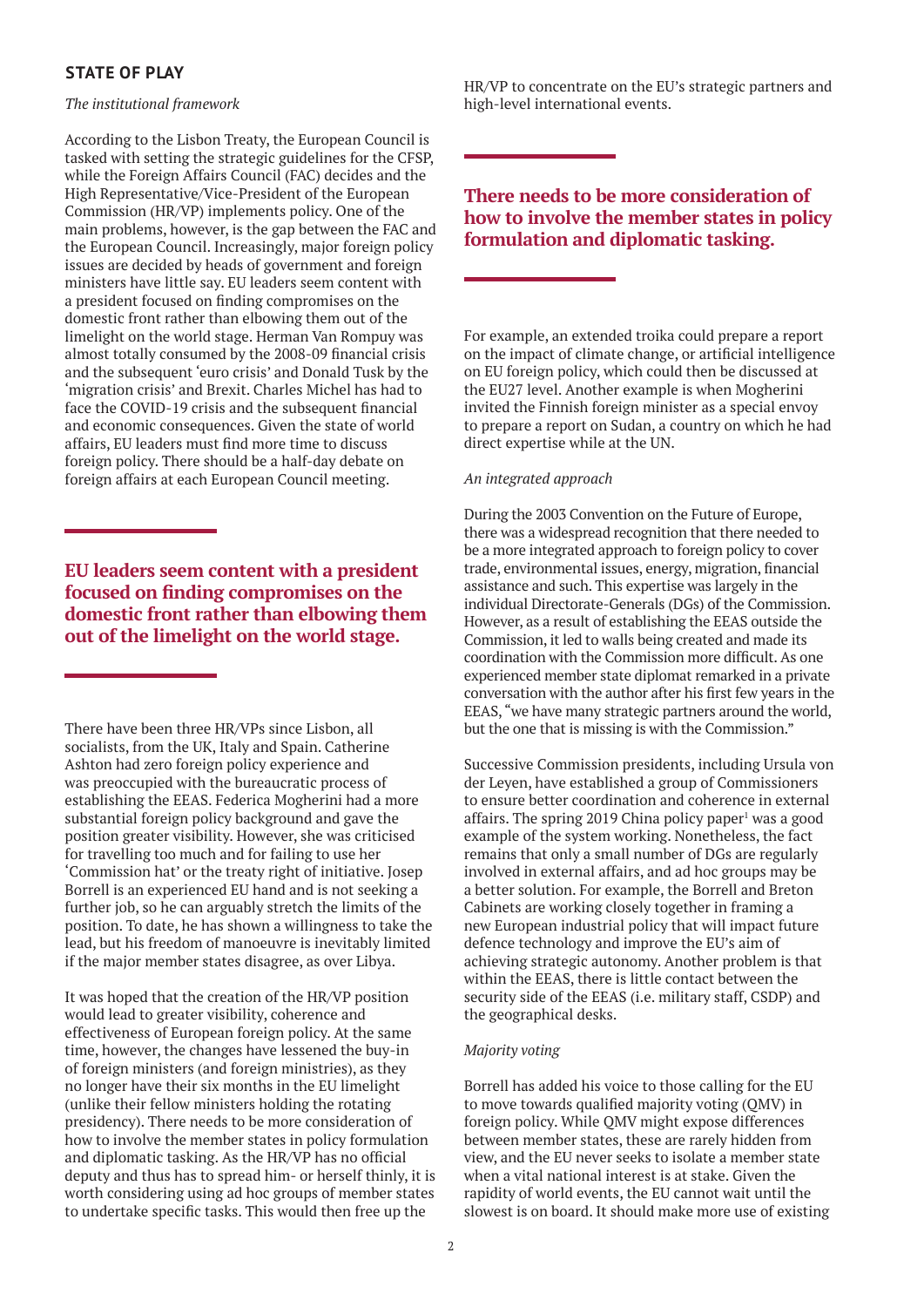# **STATE OF PLAY**

*The institutional framework*

According to the Lisbon Treaty, the European Council is tasked with setting the strategic guidelines for the CFSP, while the Foreign Affairs Council (FAC) decides and the High Representative/Vice-President of the European Commission (HR/VP) implements policy. One of the main problems, however, is the gap between the FAC and the European Council. Increasingly, major foreign policy issues are decided by heads of government and foreign ministers have little say. EU leaders seem content with a president focused on finding compromises on the domestic front rather than elbowing them out of the limelight on the world stage. Herman Van Rompuy was almost totally consumed by the 2008-09 financial crisis and the subsequent 'euro crisis' and Donald Tusk by the 'migration crisis' and Brexit. Charles Michel has had to face the COVID-19 crisis and the subsequent financial and economic consequences. Given the state of world affairs, EU leaders must find more time to discuss foreign policy. There should be a half-day debate on foreign affairs at each European Council meeting.

**EU leaders seem content with a president focused on finding compromises on the domestic front rather than elbowing them out of the limelight on the world stage.**

There have been three HR/VPs since Lisbon, all socialists, from the UK, Italy and Spain. Catherine Ashton had zero foreign policy experience and was preoccupied with the bureaucratic process of establishing the EEAS. Federica Mogherini had a more substantial foreign policy background and gave the position greater visibility. However, she was criticised for travelling too much and for failing to use her 'Commission hat' or the treaty right of initiative. Josep Borrell is an experienced EU hand and is not seeking a further job, so he can arguably stretch the limits of the position. To date, he has shown a willingness to take the lead, but his freedom of manoeuvre is inevitably limited if the major member states disagree, as over Libya.

It was hoped that the creation of the HR/VP position would lead to greater visibility, coherence and effectiveness of European foreign policy. At the same time, however, the changes have lessened the buy-in of foreign ministers (and foreign ministries), as they no longer have their six months in the EU limelight (unlike their fellow ministers holding the rotating presidency). There needs to be more consideration of how to involve the member states in policy formulation and diplomatic tasking. As the HR/VP has no official deputy and thus has to spread him- or herself thinly, it is worth considering using ad hoc groups of member states to undertake specific tasks. This would then free up the

HR/VP to concentrate on the EU's strategic partners and high-level international events.

# **There needs to be more consideration of how to involve the member states in policy formulation and diplomatic tasking.**

For example, an extended troika could prepare a report on the impact of climate change, or artificial intelligence on EU foreign policy, which could then be discussed at the EU27 level. Another example is when Mogherini invited the Finnish foreign minister as a special envoy to prepare a report on Sudan, a country on which he had direct expertise while at the UN.

## *An integrated approach*

During the 2003 Convention on the Future of Europe, there was a widespread recognition that there needed to be a more integrated approach to foreign policy to cover trade, environmental issues, energy, migration, financial assistance and such. This expertise was largely in the individual Directorate-Generals (DGs) of the Commission. However, as a result of establishing the EEAS outside the Commission, it led to walls being created and made its coordination with the Commission more difficult. As one experienced member state diplomat remarked in a private conversation with the author after his first few years in the EEAS, "we have many strategic partners around the world, but the one that is missing is with the Commission."

Successive Commission presidents, including Ursula von der Leyen, have established a group of Commissioners to ensure better coordination and coherence in external affairs. The spring  $2019$  China policy paper<sup>1</sup> was a good example of the system working. Nonetheless, the fact remains that only a small number of DGs are regularly involved in external affairs, and ad hoc groups may be a better solution. For example, the Borrell and Breton Cabinets are working closely together in framing a new European industrial policy that will impact future defence technology and improve the EU's aim of achieving strategic autonomy. Another problem is that within the EEAS, there is little contact between the security side of the EEAS (i.e. military staff, CSDP) and the geographical desks.

## *Majority voting*

Borrell has added his voice to those calling for the EU to move towards qualified majority voting (QMV) in foreign policy. While QMV might expose differences between member states, these are rarely hidden from view, and the EU never seeks to isolate a member state when a vital national interest is at stake. Given the rapidity of world events, the EU cannot wait until the slowest is on board. It should make more use of existing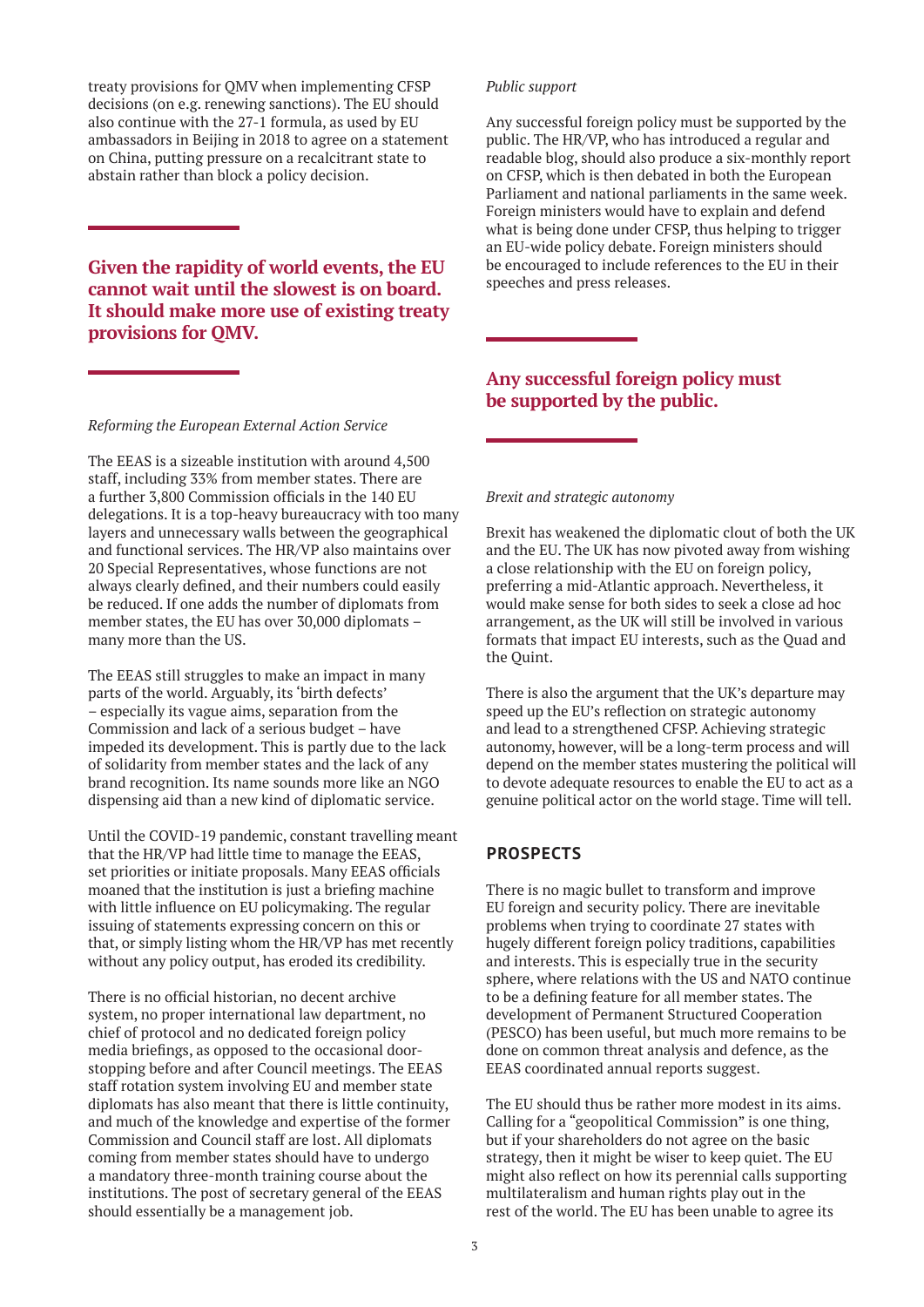treaty provisions for QMV when implementing CFSP decisions (on e.g. renewing sanctions). The EU should also continue with the 27-1 formula, as used by EU ambassadors in Beijing in 2018 to agree on a statement on China, putting pressure on a recalcitrant state to abstain rather than block a policy decision.

**Given the rapidity of world events, the EU cannot wait until the slowest is on board. It should make more use of existing treaty provisions for QMV.**

#### *Reforming the European External Action Service*

The EEAS is a sizeable institution with around 4,500 staff, including 33% from member states. There are a further 3,800 Commission officials in the 140 EU delegations. It is a top-heavy bureaucracy with too many layers and unnecessary walls between the geographical and functional services. The HR/VP also maintains over 20 Special Representatives, whose functions are not always clearly defined, and their numbers could easily be reduced. If one adds the number of diplomats from member states, the EU has over 30,000 diplomats – many more than the US.

The EEAS still struggles to make an impact in many parts of the world. Arguably, its 'birth defects' – especially its vague aims, separation from the Commission and lack of a serious budget – have impeded its development. This is partly due to the lack of solidarity from member states and the lack of any brand recognition. Its name sounds more like an NGO dispensing aid than a new kind of diplomatic service.

Until the COVID-19 pandemic, constant travelling meant that the HR/VP had little time to manage the EEAS, set priorities or initiate proposals. Many EEAS officials moaned that the institution is just a briefing machine with little influence on EU policymaking. The regular issuing of statements expressing concern on this or that, or simply listing whom the HR/VP has met recently without any policy output, has eroded its credibility.

There is no official historian, no decent archive system, no proper international law department, no chief of protocol and no dedicated foreign policy media briefings, as opposed to the occasional doorstopping before and after Council meetings. The EEAS staff rotation system involving EU and member state diplomats has also meant that there is little continuity, and much of the knowledge and expertise of the former Commission and Council staff are lost. All diplomats coming from member states should have to undergo a mandatory three-month training course about the institutions. The post of secretary general of the EEAS should essentially be a management job.

## *Public support*

Any successful foreign policy must be supported by the public. The HR/VP, who has introduced a regular and readable blog, should also produce a six-monthly report on CFSP, which is then debated in both the European Parliament and national parliaments in the same week. Foreign ministers would have to explain and defend what is being done under CFSP, thus helping to trigger an EU-wide policy debate. Foreign ministers should be encouraged to include references to the EU in their speeches and press releases.

# **Any successful foreign policy must be supported by the public.**

## *Brexit and strategic autonomy*

Brexit has weakened the diplomatic clout of both the UK and the EU. The UK has now pivoted away from wishing a close relationship with the EU on foreign policy, preferring a mid-Atlantic approach. Nevertheless, it would make sense for both sides to seek a close ad hoc arrangement, as the UK will still be involved in various formats that impact EU interests, such as the Quad and the Quint.

There is also the argument that the UK's departure may speed up the EU's reflection on strategic autonomy and lead to a strengthened CFSP. Achieving strategic autonomy, however, will be a long-term process and will depend on the member states mustering the political will to devote adequate resources to enable the EU to act as a genuine political actor on the world stage. Time will tell.

## **PROSPECTS**

There is no magic bullet to transform and improve EU foreign and security policy. There are inevitable problems when trying to coordinate 27 states with hugely different foreign policy traditions, capabilities and interests. This is especially true in the security sphere, where relations with the US and NATO continue to be a defining feature for all member states. The development of Permanent Structured Cooperation (PESCO) has been useful, but much more remains to be done on common threat analysis and defence, as the EEAS coordinated annual reports suggest.

The EU should thus be rather more modest in its aims. Calling for a "geopolitical Commission" is one thing, but if your shareholders do not agree on the basic strategy, then it might be wiser to keep quiet. The EU might also reflect on how its perennial calls supporting multilateralism and human rights play out in the rest of the world. The EU has been unable to agree its